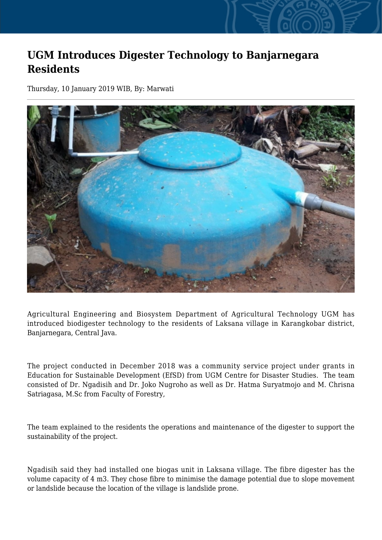## **UGM Introduces Digester Technology to Banjarnegara Residents**

Thursday, 10 January 2019 WIB, By: Marwati



Agricultural Engineering and Biosystem Department of Agricultural Technology UGM has introduced biodigester technology to the residents of Laksana village in Karangkobar district, Banjarnegara, Central Java.

The project conducted in December 2018 was a community service project under grants in Education for Sustainable Development (EfSD) from UGM Centre for Disaster Studies. The team consisted of Dr. Ngadisih and Dr. Joko Nugroho as well as Dr. Hatma Suryatmojo and M. Chrisna Satriagasa, M.Sc from Faculty of Forestry,

The team explained to the residents the operations and maintenance of the digester to support the sustainability of the project.

Ngadisih said they had installed one biogas unit in Laksana village. The fibre digester has the volume capacity of 4 m3. They chose fibre to minimise the damage potential due to slope movement or landslide because the location of the village is landslide prone.